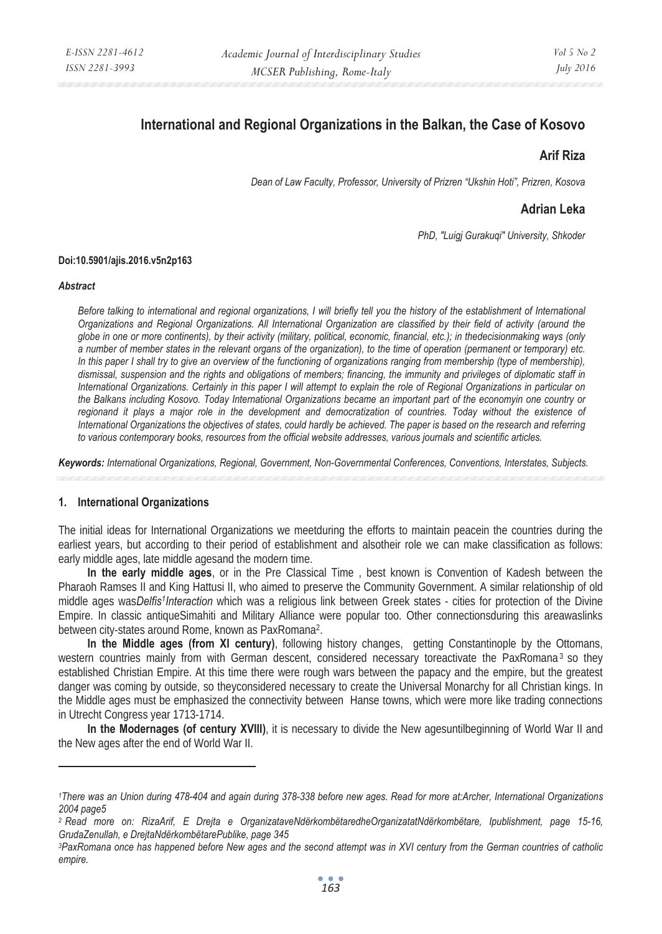# **International and Regional Organizations in the Balkan, the Case of Kosovo**

# **Arif Riza**

*Dean of Law Faculty, Professor, University of Prizren "Ukshin Hoti", Prizren, Kosova* 

# **Adrian Leka**

*PhD, "Luigj Gurakuqi" University, Shkoder* 

#### **Doi:10.5901/ajis.2016.v5n2p163**

#### *Abstract*

 $\overline{a}$ 

*Before talking to international and regional organizations, I will briefly tell you the history of the establishment of International Organizations and Regional Organizations. All International Organization are classified by their field of activity (around the globe in one or more continents), by their activity (military, political, economic, financial, etc.); in thedecisionmaking ways (only a number of member states in the relevant organs of the organization), to the time of operation (permanent or temporary) etc. In this paper I shall try to give an overview of the functioning of organizations ranging from membership (type of membership), dismissal, suspension and the rights and obligations of members; financing, the immunity and privileges of diplomatic staff in International Organizations. Certainly in this paper I will attempt to explain the role of Regional Organizations in particular on the Balkans including Kosovo. Today International Organizations became an important part of the economyin one country or*  regionand it plays a major role in the development and democratization of countries. Today without the existence of *International Organizations the objectives of states, could hardly be achieved. The paper is based on the research and referring to various contemporary books, resources from the official website addresses, various journals and scientific articles.* 

*Keywords: International Organizations, Regional, Government, Non-Governmental Conferences, Conventions, Interstates, Subjects.* 

# **1. International Organizations**

The initial ideas for International Organizations we meetduring the efforts to maintain peacein the countries during the earliest years, but according to their period of establishment and alsotheir role we can make classification as follows: early middle ages, late middle agesand the modern time.

**In the early middle ages**, or in the Pre Classical Time , best known is Convention of Kadesh between the Pharaoh Ramses II and King Hattusi II, who aimed to preserve the Community Government. A similar relationship of old middle ages was*Delfis1Interaction* which was a religious link between Greek states - cities for protection of the Divine Empire. In classic antiqueSimahiti and Military Alliance were popular too. Other connectionsduring this areawaslinks between city-states around Rome, known as PaxRomana2.

**In the Middle ages (from XI century)**, following history changes, getting Constantinople by the Ottomans, western countries mainly from with German descent, considered necessary toreactivate the PaxRomana 3 so they established Christian Empire. At this time there were rough wars between the papacy and the empire, but the greatest danger was coming by outside, so theyconsidered necessary to create the Universal Monarchy for all Christian kings. In the Middle ages must be emphasized the connectivity between Hanse towns, which were more like trading connections in Utrecht Congress year 1713-1714.

In the Modernages (of century XVIII), it is necessary to divide the New agesuntilbeginning of World War II and the New ages after the end of World War II.

*<sup>1</sup>There was an Union during 478-404 and again during 378-338 before new ages. Read for more at:Archer, International Organizations 2004 page5* 

*<sup>2</sup> Read more on: RizaArif, E Drejta e OrganizataveNdërkombëtaredheOrganizatatNdërkombëtare, Ipublishment, page 15-16, GrudaZenullah, e DrejtaNdërkombëtarePublike, page 345* 

*<sup>3</sup>PaxRomana once has happened before New ages and the second attempt was in XVI century from the German countries of catholic empire.*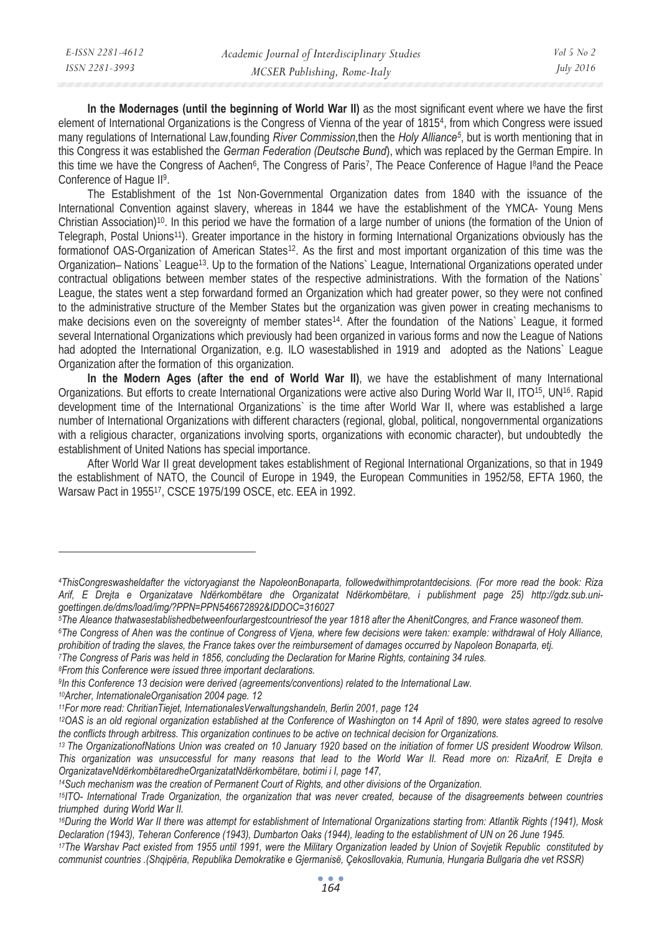**In the Modernages (until the beginning of World War II)** as the most significant event where we have the first element of International Organizations is the Congress of Vienna of the year of 18154, from which Congress were issued many regulations of International Law,founding *River Commission*,then the *Holy Alliance5*, but is worth mentioning that in this Congress it was established the *German Federation (Deutsche Bund*), which was replaced by the German Empire. In this time we have the Congress of Aachen<sup>6</sup>, The Congress of Paris<sup>7</sup>, The Peace Conference of Hague I8and the Peace Conference of Hague II9.

The Establishment of the 1st Non-Governmental Organization dates from 1840 with the issuance of the International Convention against slavery, whereas in 1844 we have the establishment of the YMCA- Young Mens Christian Association)10. In this period we have the formation of a large number of unions (the formation of the Union of Telegraph, Postal Unions11). Greater importance in the history in forming International Organizations obviously has the formationof OAS-Organization of American States<sup>12</sup>. As the first and most important organization of this time was the Organization– Nations` League13. Up to the formation of the Nations` League, International Organizations operated under contractual obligations between member states of the respective administrations. With the formation of the Nations` League, the states went a step forwardand formed an Organization which had greater power, so they were not confined to the administrative structure of the Member States but the organization was given power in creating mechanisms to make decisions even on the sovereignty of member states<sup>14</sup>. After the foundation of the Nations` League, it formed several International Organizations which previously had been organized in various forms and now the League of Nations had adopted the International Organization, e.g. ILO wasestablished in 1919 and adopted as the Nations` League Organization after the formation of this organization.

In the Modern Ages (after the end of World War II), we have the establishment of many International Organizations. But efforts to create International Organizations were active also During World War II, ITO15, UN16. Rapid development time of the International Organizations` is the time after World War II, where was established a large number of International Organizations with different characters (regional, global, political, nongovernmental organizations with a religious character, organizations involving sports, organizations with economic character), but undoubtedly the establishment of United Nations has special importance.

After World War II great development takes establishment of Regional International Organizations, so that in 1949 the establishment of NATO, the Council of Europe in 1949, the European Communities in 1952/58, EFTA 1960, the Warsaw Pact in 195517, CSCE 1975/199 OSCE, etc. EEA in 1992.

 $\overline{a}$ 

*<sup>4</sup>ThisCongreswasheldafter the victoryagianst the NapoleonBonaparta, followedwithimprotantdecisions. (For more read the book: Riza Arif, E Drejta e Organizatave Ndërkombëtare dhe Organizatat Ndërkombëtare, i publishment page 25) http://gdz.sub.uni-*

goettingen.de/dms/load/img/?PPN=PPN546672892&IDDOC=316027<br><sup>5</sup>The Aleance thatwasestablishedbetweenfourlargestcountriesof the year 1818 after the AhenitCongres, and France wasoneof them.<br><sup>6</sup>The Congress of Ahen was the cont

<sup>&</sup>lt;sup>7</sup>The Congress of Paris was held in 1856, concluding the Declaration for Marine Rights, containing 34 rules.<br><sup>8</sup>From this Conference were issued three important declarations.

*<sup>9</sup>In this Conference 13 decision were derived (agreements/conventions) related to the International Law. 10Archer, InternationaleOrganisation 2004 page. 12* 

*<sup>11</sup>For more read: ChritianTiejet, InternationalesVerwaltungshandeln, Berlin 2001, page 124* 

*<sup>12</sup>OAS is an old regional organization established at the Conference of Washington on 14 April of 1890, were states agreed to resolve*  the conflicts through arbitress. This organization continues to be active on technical decision for Organizations.<br><sup>13</sup> The OrganizationofNations Union was created on 10 January 1920 based on the initiation of former US pr

This organization was unsuccessful for many reasons that lead to the World War II. Read more on: RizaArif, E Drejta e

OrganizataveNdërkombëtaredheOrganizatatNdërkombëtare, botimi i I, page 147,<br><sup>14</sup>Such mechanism was the creation of Permanent Court of Rights, and other divisions of the Organization.<br><sup>15</sup>ITO- International Trade Organizati *triumphed during World War II.* 

*<sup>16</sup>During the World War II there was attempt for establishment of International Organizations starting from: Atlantik Rights (1941), Mosk*  Declaration (1943), Teheran Conference (1943), Dumbarton Oaks (1944), leading to the establishment of UN on 26 June 1945.<br><sup>17</sup>The Warshay Pact existed from 1955 until 1991, were the Military Organization leaded by Union of

*communist countries .(Shqipëria, Republika Demokratike e Gjermanisë, Çekosllovakia, Rumunia, Hungaria Bullgaria dhe vet RSSR)*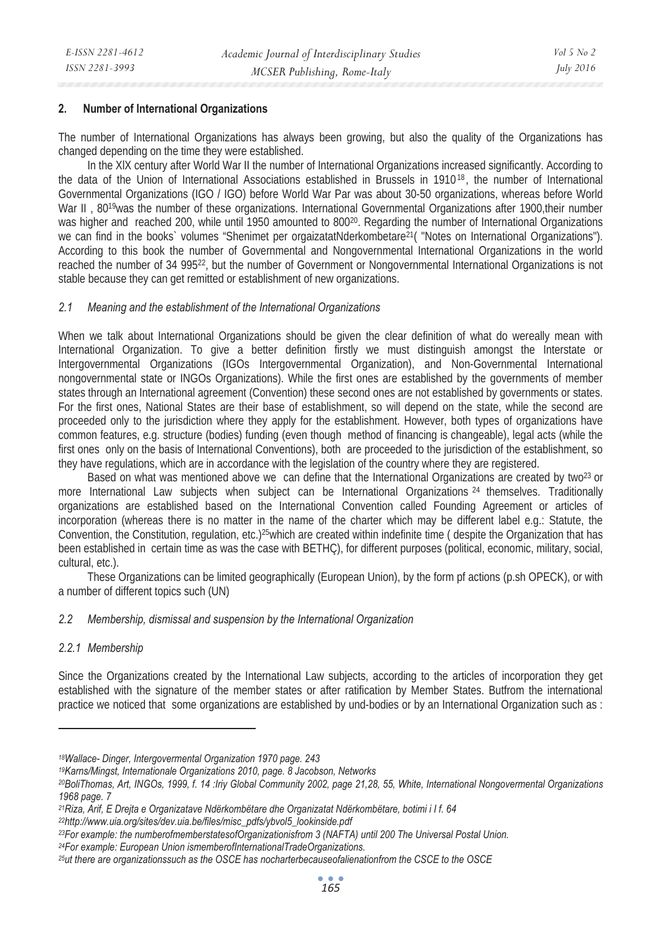# **2. Number of International Organizations**

The number of International Organizations has always been growing, but also the quality of the Organizations has changed depending on the time they were established.

In the XlX century after World War II the number of International Organizations increased significantly. According to the data of the Union of International Associations established in Brussels in 191018 , the number of International Governmental Organizations (IGO / IGO) before World War Par was about 30-50 organizations, whereas before World War II, 80<sup>19</sup>was the number of these organizations. International Governmental Organizations after 1900, their number was higher and reached 200, while until 1950 amounted to 800<sup>20</sup>. Regarding the number of International Organizations we can find in the books` volumes "Shenimet per orgaizatatNderkombetare<sup>21</sup>( "Notes on International Organizations"). According to this book the number of Governmental and Nongovernmental International Organizations in the world reached the number of 34 995<sup>22</sup>, but the number of Government or Nongovernmental International Organizations is not stable because they can get remitted or establishment of new organizations.

# *2.1 Meaning and the establishment of the International Organizations*

When we talk about International Organizations should be given the clear definition of what do wereally mean with International Organization. To give a better definition firstly we must distinguish amongst the Interstate or Intergovernmental Organizations (IGOs Intergovernmental Organization), and Non-Governmental International nongovernmental state or INGOs Organizations). While the first ones are established by the governments of member states through an International agreement (Convention) these second ones are not established by governments or states. For the first ones, National States are their base of establishment, so will depend on the state, while the second are proceeded only to the jurisdiction where they apply for the establishment. However, both types of organizations have common features, e.g. structure (bodies) funding (even though method of financing is changeable), legal acts (while the first ones only on the basis of International Conventions), both are proceeded to the jurisdiction of the establishment, so they have regulations, which are in accordance with the legislation of the country where they are registered.

Based on what was mentioned above we can define that the International Organizations are created by two<sup>23</sup> or more International Law subjects when subject can be International Organizations <sup>24</sup> themselves. Traditionally organizations are established based on the International Convention called Founding Agreement or articles of incorporation (whereas there is no matter in the name of the charter which may be different label e.g.: Statute, the Convention, the Constitution, regulation, etc.)25which are created within indefinite time ( despite the Organization that has been established in certain time as was the case with BETHÇ), for different purposes (political, economic, military, social, cultural, etc.).

These Organizations can be limited geographically (European Union), by the form pf actions (p.sh OPECK), or with a number of different topics such (UN)

# *2.2 Membership, dismissal and suspension by the International Organization*

# *2.2.1 Membership*

 $\overline{a}$ 

Since the Organizations created by the International Law subjects, according to the articles of incorporation they get established with the signature of the member states or after ratification by Member States. Butfrom the international practice we noticed that some organizations are established by und-bodies or by an International Organization such as :

*<sup>18</sup>Wallace- Dinger, Intergovermental Organization 1970 page. 243* 

<sup>&</sup>lt;sup>19</sup>Karns/Mingst, Internationale Organizations 2010, page. 8 Jacobson, Networks<br><sup>20</sup>BoliThomas, Art, INGOs, 1999, f. 14 :Iriy Global Community 2002, page 21,28, 55, White, International Nongovermental Organizations *1968 page. 7* 

<sup>&</sup>lt;sup>21</sup>Riza, Arif, E Drejta e Organizatave Ndërkombëtare dhe Organizatat Ndërkombëtare, botimi i I f. 64<br><sup>22</sup>http://www.uia.org/sites/dev.uia.be/files/misc\_pdfs/ybvol5\_lookinside.pdf

<sup>&</sup>lt;sup>23</sup>For example: the numberofmemberstatesofOrganizationisfrom 3 (NAFTA) until 200 The Universal Postal Union.<br><sup>24</sup>For example: European Union ismemberofInternationalTradeOrganizations.

*<sup>25</sup>ut there are organizationssuch as the OSCE has nocharterbecauseofalienationfrom the CSCE to the OSCE*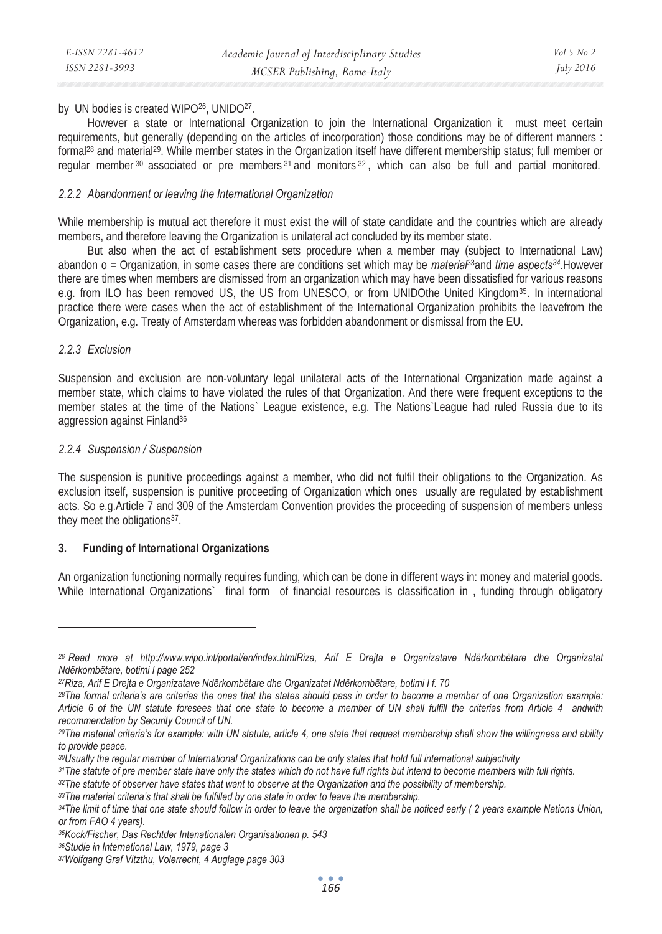# by UN bodies is created WIPO<sup>26</sup>, UNIDO<sup>27</sup>.

However a state or International Organization to join the International Organization it must meet certain requirements, but generally (depending on the articles of incorporation) those conditions may be of different manners : formal<sup>28</sup> and material<sup>29</sup>. While member states in the Organization itself have different membership status; full member or regular member  $30$  associated or pre members  $31$  and monitors  $32$ , which can also be full and partial monitored.

#### *2.2.2 Abandonment or leaving the International Organization*

While membership is mutual act therefore it must exist the will of state candidate and the countries which are already members, and therefore leaving the Organization is unilateral act concluded by its member state.

But also when the act of establishment sets procedure when a member may (subject to International Law) abandon o = Organization, in some cases there are conditions set which may be *material*33and *time aspects34.*However there are times when members are dismissed from an organization which may have been dissatisfied for various reasons e.g. from ILO has been removed US, the US from UNESCO, or from UNIDOthe United Kingdom<sup>35</sup>. In international practice there were cases when the act of establishment of the International Organization prohibits the leavefrom the Organization, e.g. Treaty of Amsterdam whereas was forbidden abandonment or dismissal from the EU.

#### *2.2.3 Exclusion*

 $\overline{a}$ 

Suspension and exclusion are non-voluntary legal unilateral acts of the International Organization made against a member state, which claims to have violated the rules of that Organization. And there were frequent exceptions to the member states at the time of the Nations` League existence, e.g. The Nations`League had ruled Russia due to its aggression against Finland36

#### *2.2.4 Suspension / Suspension*

The suspension is punitive proceedings against a member, who did not fulfil their obligations to the Organization. As exclusion itself, suspension is punitive proceeding of Organization which ones usually are regulated by establishment acts. So e.g.Article 7 and 309 of the Amsterdam Convention provides the proceeding of suspension of members unless they meet the obligations<sup>37</sup>.

# **3. Funding of International Organizations**

An organization functioning normally requires funding, which can be done in different ways in: money and material goods. While International Organizations` final form of financial resources is classification in , funding through obligatory

*<sup>26</sup> Read more at http://www.wipo.int/portal/en/index.htmlRiza, Arif E Drejta e Organizatave Ndërkombëtare dhe Organizatat Ndërkombëtare, botimi I page 252* 

<sup>&</sup>lt;sup>27</sup>Riza, Arif E Drejta e Organizatave Ndërkombëtare dhe Organizatat Ndërkombëtare, botimi I f. 70<br><sup>28</sup>The formal criteria's are criterias the ones that the states should pass in order to become a member of one Organizatio *Article 6 of the UN statute foresees that one state to become a member of UN shall fulfill the criterias from Article 4 andwith recommendation by Security Council of UN.* 

*<sup>29</sup>The material criteria's for example: with UN statute, article 4, one state that request membership shall show the willingness and ability*  to provide peace.<br><sup>30</sup>Usually the regular member of International Organizations can be only states that hold full international subjectivity

<sup>31</sup> The statute of pre member state have only the states which do not have full rights but intend to become members with full rights.<br>32 The statute of observer have states that want to observe at the Organization and the p

<sup>33</sup>The material criteria's that shall be fulfilled by one state in order to leave the membership.<br>34The limit of time that one state should follow in order to leave the organization shall be noticed early (2 years example N *or from FAO 4 years).* 

*<sup>35</sup>Kock/Fischer, Das Rechtder Intenationalen Organisationen p. 543 36Studie in International Law, 1979, page 3* 

*<sup>37</sup>Wolfgang Graf Vitzthu, Volerrecht, 4 Auglage page 303*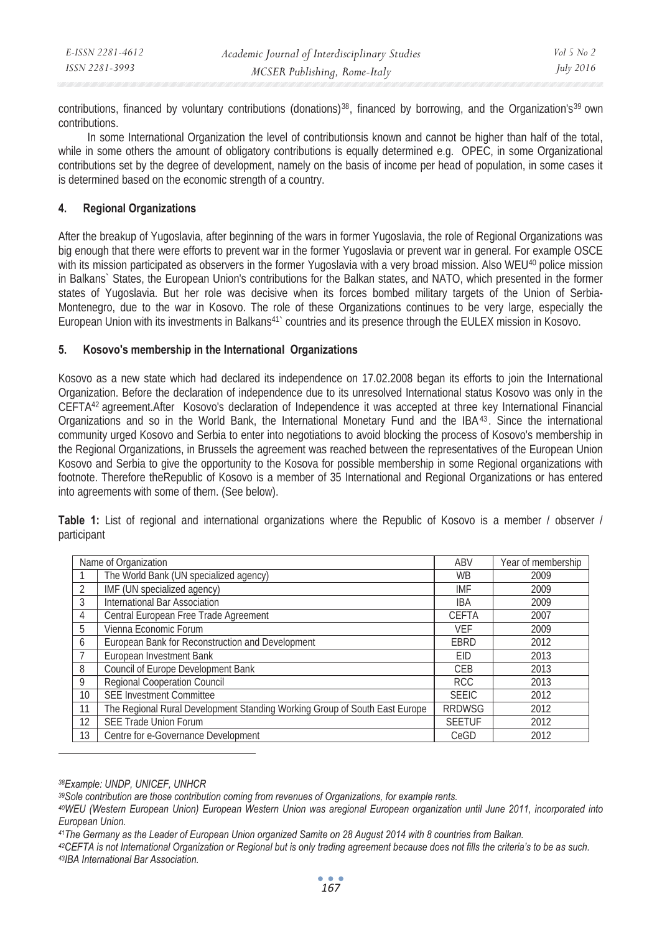| E-ISSN 2281-4612 | Academic Journal of Interdisciplinary Studies | $Vol_5$ No 2     |
|------------------|-----------------------------------------------|------------------|
| ISSN 2281-3993   | MCSER Publishing, Rome-Italy                  | <i>July 2016</i> |

contributions, financed by voluntary contributions (donations)<sup>38</sup>, financed by borrowing, and the Organization's<sup>39</sup> own contributions.

In some International Organization the level of contributionsis known and cannot be higher than half of the total, while in some others the amount of obligatory contributions is equally determined e.g. OPEC, in some Organizational contributions set by the degree of development, namely on the basis of income per head of population, in some cases it is determined based on the economic strength of a country.

# **4. Regional Organizations**

After the breakup of Yugoslavia, after beginning of the wars in former Yugoslavia, the role of Regional Organizations was big enough that there were efforts to prevent war in the former Yugoslavia or prevent war in general. For example OSCE with its mission participated as observers in the former Yugoslavia with a very broad mission. Also WEU<sup>40</sup> police mission in Balkans` States, the European Union's contributions for the Balkan states, and NATO, which presented in the former states of Yugoslavia. But her role was decisive when its forces bombed military targets of the Union of Serbia-Montenegro, due to the war in Kosovo. The role of these Organizations continues to be very large, especially the European Union with its investments in Balkans<sup>41</sup> countries and its presence through the EULEX mission in Kosovo.

# **5. Kosovo's membership in the International Organizations**

Kosovo as a new state which had declared its independence on 17.02.2008 began its efforts to join the International Organization. Before the declaration of independence due to its unresolved International status Kosovo was only in the CEFTA42 agreement.After Kosovo's declaration of Independence it was accepted at three key International Financial Organizations and so in the World Bank, the International Monetary Fund and the IBA43 . Since the international community urged Kosovo and Serbia to enter into negotiations to avoid blocking the process of Kosovo's membership in the Regional Organizations, in Brussels the agreement was reached between the representatives of the European Union Kosovo and Serbia to give the opportunity to the Kosova for possible membership in some Regional organizations with footnote. Therefore theRepublic of Kosovo is a member of 35 International and Regional Organizations or has entered into agreements with some of them. (See below).

**Table 1:** List of regional and international organizations where the Republic of Kosovo is a member / observer / participant

| Name of Organization |                                                                            | ABV           | Year of membership |
|----------------------|----------------------------------------------------------------------------|---------------|--------------------|
|                      | The World Bank (UN specialized agency)                                     | WB            | 2009               |
| $\overline{2}$       | IMF (UN specialized agency)                                                | <b>IMF</b>    | 2009               |
| 3                    | International Bar Association                                              | <b>IBA</b>    | 2009               |
| $\overline{4}$       | Central European Free Trade Agreement                                      | <b>CEFTA</b>  | 2007               |
| 5                    | Vienna Economic Forum                                                      | <b>VEF</b>    | 2009               |
| 6                    | European Bank for Reconstruction and Development                           | <b>EBRD</b>   | 2012               |
|                      | European Investment Bank                                                   | EID           | 2013               |
| 8                    | Council of Europe Development Bank                                         | <b>CEB</b>    | 2013               |
| 9                    | Regional Cooperation Council                                               | <b>RCC</b>    | 2013               |
| 10                   | <b>SEE Investment Committee</b>                                            | <b>SEEIC</b>  | 2012               |
| 11                   | The Regional Rural Development Standing Working Group of South East Europe | <b>RRDWSG</b> | 2012               |
| 12                   | SEE Trade Union Forum                                                      | <b>SEETUF</b> | 2012               |
| 13                   | Centre for e-Governance Development                                        | CeGD          | 2012               |

*38Example: UNDP, UNICEF, UNHCR* 

 $\overline{a}$ 

<sup>&</sup>lt;sup>39</sup>Sole contribution are those contribution coming from revenues of Organizations, for example rents.<br><sup>40</sup>WEU (Western European Union) European Western Union was aregional European organization until June 2011. incorporat *European Union.* 

<sup>41</sup>The Germany as the Leader of European Union organized Samite on 28 August 2014 with 8 countries from Balkan.<br>42CEFTA is not International Organization or Regional but is only trading agreement because does not fills the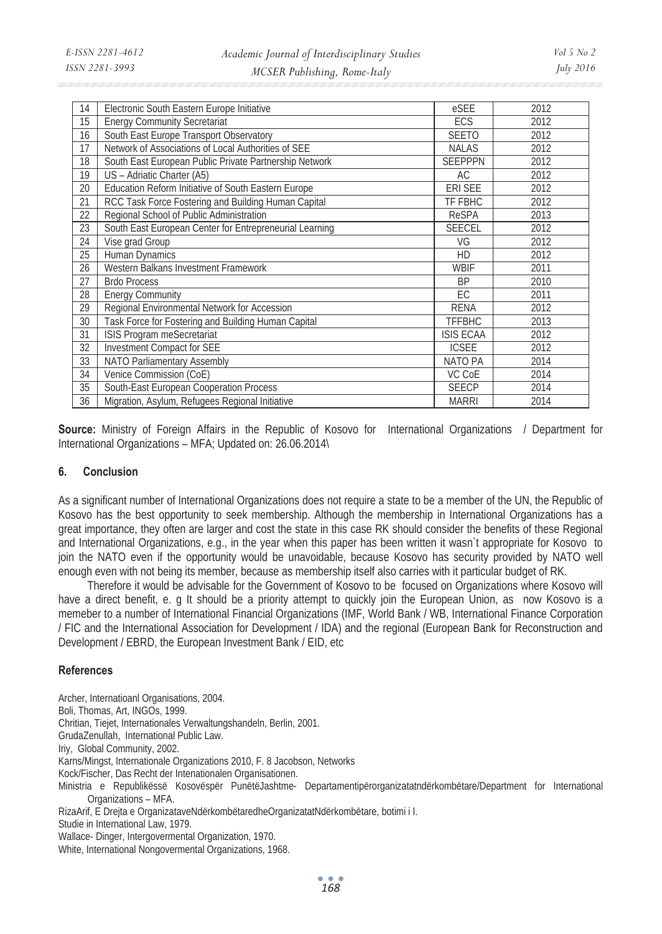| 14 | Electronic South Eastern Europe Initiative              | eSEE             | 2012 |
|----|---------------------------------------------------------|------------------|------|
| 15 | <b>Energy Community Secretariat</b>                     | <b>ECS</b>       | 2012 |
| 16 | South East Europe Transport Observatory                 | <b>SEETO</b>     | 2012 |
| 17 | Network of Associations of Local Authorities of SEE     | <b>NALAS</b>     | 2012 |
| 18 | South East European Public Private Partnership Network  | <b>SEEPPPN</b>   | 2012 |
| 19 | US - Adriatic Charter (A5)                              | AC               | 2012 |
| 20 | Education Reform Initiative of South Eastern Europe     | <b>ERISEE</b>    | 2012 |
| 21 | RCC Task Force Fostering and Building Human Capital     | TF FBHC          | 2012 |
| 22 | Regional School of Public Administration                | <b>ReSPA</b>     | 2013 |
| 23 | South East European Center for Entrepreneurial Learning | <b>SEECEL</b>    | 2012 |
| 24 | Vise grad Group                                         | VG               | 2012 |
| 25 | Human Dynamics                                          | HD               | 2012 |
| 26 | Western Balkans Investment Framework                    | <b>WBIF</b>      | 2011 |
| 27 | <b>Brdo Process</b>                                     | BP               | 2010 |
| 28 | <b>Energy Community</b>                                 | EC               | 2011 |
| 29 | Regional Environmental Network for Accession            | <b>RENA</b>      | 2012 |
| 30 | Task Force for Fostering and Building Human Capital     | <b>TFFBHC</b>    | 2013 |
| 31 | ISIS Program meSecretariat                              | <b>ISIS ECAA</b> | 2012 |
| 32 | Investment Compact for SEE                              | <b>ICSEE</b>     | 2012 |
| 33 | NATO Parliamentary Assembly                             | <b>NATO PA</b>   | 2014 |
| 34 | Venice Commission (CoE)                                 | VC CoE           | 2014 |
| 35 | South-East European Cooperation Process                 | <b>SEECP</b>     | 2014 |
| 36 | Migration, Asylum, Refugees Regional Initiative         | <b>MARRI</b>     | 2014 |

**Source:** Ministry of Foreign Affairs in the Republic of Kosovo for International Organizations / Department for International Organizations – MFA; Updated on: 26.06.2014\

# **6. Conclusion**

As a significant number of International Organizations does not require a state to be a member of the UN, the Republic of Kosovo has the best opportunity to seek membership. Although the membership in International Organizations has a great importance, they often are larger and cost the state in this case RK should consider the benefits of these Regional and International Organizations, e.g., in the year when this paper has been written it wasn`t appropriate for Kosovo to join the NATO even if the opportunity would be unavoidable, because Kosovo has security provided by NATO well enough even with not being its member, because as membership itself also carries with it particular budget of RK.

Therefore it would be advisable for the Government of Kosovo to be focused on Organizations where Kosovo will have a direct benefit, e. g It should be a priority attempt to quickly join the European Union, as now Kosovo is a memeber to a number of International Financial Organizations (IMF, World Bank / WB, International Finance Corporation / FIC and the International Association for Development / IDA) and the regional (European Bank for Reconstruction and Development / EBRD, the European Investment Bank / EID, etc

# **References**

Archer, Internatioanl Organisations, 2004. Boli, Thomas, Art, INGOs, 1999. Chritian, Tiejet, Internationales Verwaltungshandeln, Berlin, 2001. GrudaZenullah, International Public Law. Iriy, Global Community, 2002. Karns/Mingst, Internationale Organizations 2010, F. 8 Jacobson, Networks Kock/Fischer, Das Recht der Intenationalen Organisationen. Ministria e Republikëssë Kosovëspër PunëtëJashtme- Departamentipërorganizatatndërkombëtare/Department for International Organizations – MFA. RizaArif, E Drejta e OrganizataveNdërkombëtaredheOrganizatatNdërkombëtare, botimi i I. Studie in International Law, 1979. Wallace- Dinger, Intergovermental Organization, 1970. White, International Nongovermental Organizations, 1968.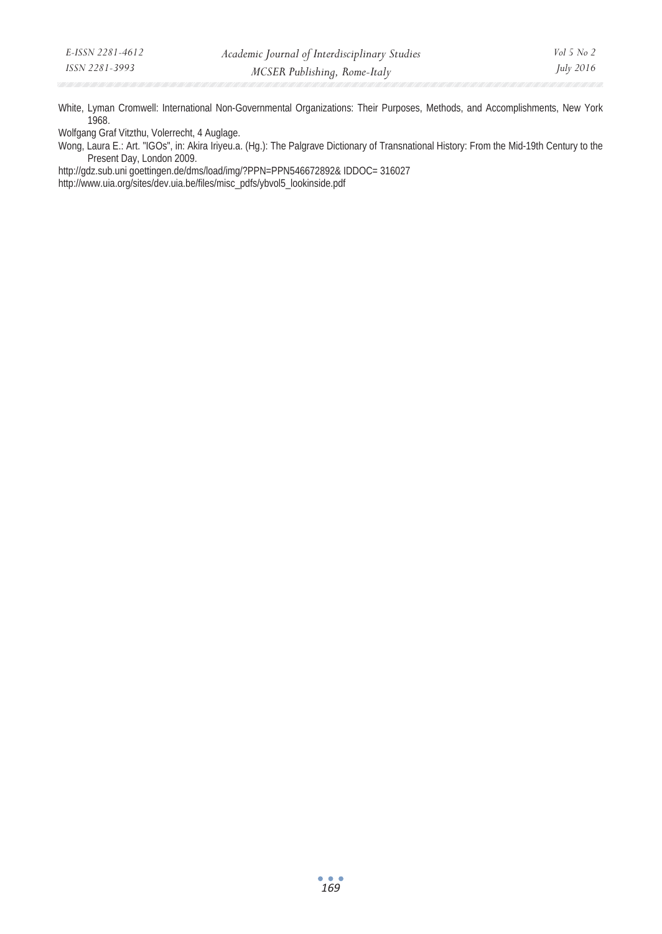White, Lyman Cromwell: International Non-Governmental Organizations: Their Purposes, Methods, and Accomplishments, New York 1968.

Wolfgang Graf Vitzthu, Volerrecht, 4 Auglage.

Wong, Laura E.: Art. "IGOs", in: Akira Iriyeu.a. (Hg.): The Palgrave Dictionary of Transnational History: From the Mid-19th Century to the Present Day, London 2009.

http://gdz.sub.uni goettingen.de/dms/load/img/?PPN=PPN546672892& IDDOC= 316027 http://www.uia.org/sites/dev.uia.be/files/misc\_pdfs/ybvol5\_lookinside.pdf